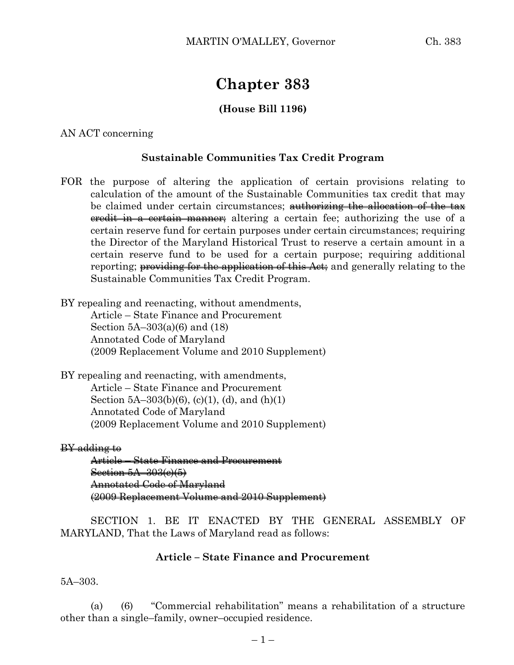# **Chapter 383**

# **(House Bill 1196)**

## AN ACT concerning

## **Sustainable Communities Tax Credit Program**

FOR the purpose of altering the application of certain provisions relating to calculation of the amount of the Sustainable Communities tax credit that may be claimed under certain circumstances; <del>authorizing the allocation of the tax</del> eredit in a certain manner; altering a certain fee; authorizing the use of a certain reserve fund for certain purposes under certain circumstances; requiring the Director of the Maryland Historical Trust to reserve a certain amount in a certain reserve fund to be used for a certain purpose; requiring additional reporting; providing for the application of this Act; and generally relating to the Sustainable Communities Tax Credit Program.

BY repealing and reenacting, without amendments,

Article – State Finance and Procurement Section 5A–303(a)(6) and (18) Annotated Code of Maryland (2009 Replacement Volume and 2010 Supplement)

BY repealing and reenacting, with amendments, Article – State Finance and Procurement Section  $5A-303(b)(6)$ , (c)(1), (d), and (h)(1) Annotated Code of Maryland (2009 Replacement Volume and 2010 Supplement)

#### BY adding to

Article – State Finance and Procurement Section 5A–303(c)(5) Annotated Code of Maryland (2009 Replacement Volume and 2010 Supplement)

SECTION 1. BE IT ENACTED BY THE GENERAL ASSEMBLY OF MARYLAND, That the Laws of Maryland read as follows:

### **Article – State Finance and Procurement**

5A–303.

(a) (6) "Commercial rehabilitation" means a rehabilitation of a structure other than a single–family, owner–occupied residence.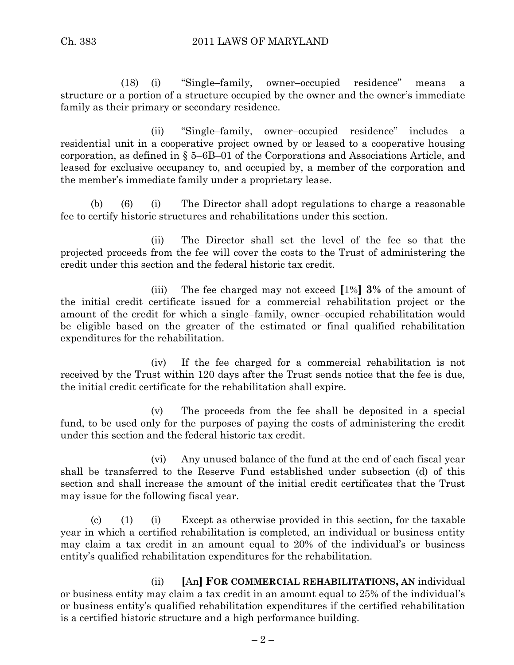(18) (i) "Single–family, owner–occupied residence" means a structure or a portion of a structure occupied by the owner and the owner's immediate family as their primary or secondary residence.

(ii) "Single–family, owner–occupied residence" includes a residential unit in a cooperative project owned by or leased to a cooperative housing corporation, as defined in § 5–6B–01 of the Corporations and Associations Article, and leased for exclusive occupancy to, and occupied by, a member of the corporation and the member's immediate family under a proprietary lease.

(b) (6) (i) The Director shall adopt regulations to charge a reasonable fee to certify historic structures and rehabilitations under this section.

(ii) The Director shall set the level of the fee so that the projected proceeds from the fee will cover the costs to the Trust of administering the credit under this section and the federal historic tax credit.

(iii) The fee charged may not exceed **[**1%**] 3%** of the amount of the initial credit certificate issued for a commercial rehabilitation project or the amount of the credit for which a single–family, owner–occupied rehabilitation would be eligible based on the greater of the estimated or final qualified rehabilitation expenditures for the rehabilitation.

(iv) If the fee charged for a commercial rehabilitation is not received by the Trust within 120 days after the Trust sends notice that the fee is due, the initial credit certificate for the rehabilitation shall expire.

(v) The proceeds from the fee shall be deposited in a special fund, to be used only for the purposes of paying the costs of administering the credit under this section and the federal historic tax credit.

(vi) Any unused balance of the fund at the end of each fiscal year shall be transferred to the Reserve Fund established under subsection (d) of this section and shall increase the amount of the initial credit certificates that the Trust may issue for the following fiscal year.

(c) (1) (i) Except as otherwise provided in this section, for the taxable year in which a certified rehabilitation is completed, an individual or business entity may claim a tax credit in an amount equal to 20% of the individual's or business entity's qualified rehabilitation expenditures for the rehabilitation.

(ii) **[**An**] FOR COMMERCIAL REHABILITATIONS, AN** individual or business entity may claim a tax credit in an amount equal to 25% of the individual's or business entity's qualified rehabilitation expenditures if the certified rehabilitation is a certified historic structure and a high performance building.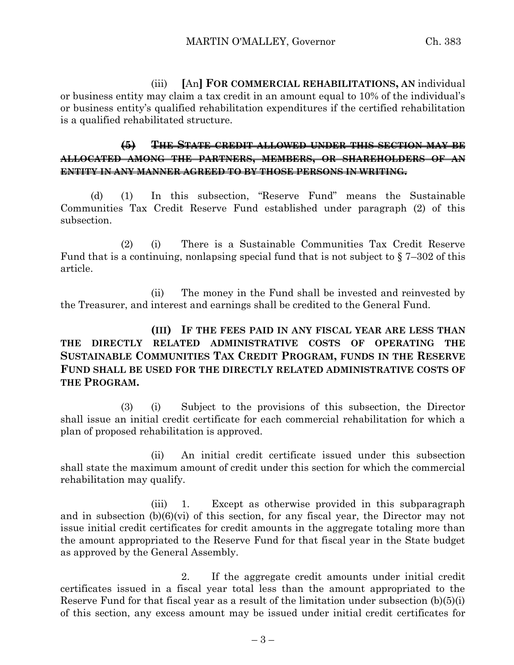(iii) **[**An**] FOR COMMERCIAL REHABILITATIONS, AN** individual or business entity may claim a tax credit in an amount equal to 10% of the individual's or business entity's qualified rehabilitation expenditures if the certified rehabilitation is a qualified rehabilitated structure.

# **(5) THE STATE CREDIT ALLOWED UNDER THIS SECTION MAY BE ALLOCATED AMONG THE PARTNERS, MEMBERS, OR SHAREHOLDERS OF AN ENTITY IN ANY MANNER AGREED TO BY THOSE PERSONS IN WRITING.**

(d) (1) In this subsection, "Reserve Fund" means the Sustainable Communities Tax Credit Reserve Fund established under paragraph (2) of this subsection.

(2) (i) There is a Sustainable Communities Tax Credit Reserve Fund that is a continuing, nonlapsing special fund that is not subject to  $\S 7-302$  of this article.

(ii) The money in the Fund shall be invested and reinvested by the Treasurer, and interest and earnings shall be credited to the General Fund.

# **(III) IF THE FEES PAID IN ANY FISCAL YEAR ARE LESS THAN THE DIRECTLY RELATED ADMINISTRATIVE COSTS OF OPERATING THE SUSTAINABLE COMMUNITIES TAX CREDIT PROGRAM, FUNDS IN THE RESERVE FUND SHALL BE USED FOR THE DIRECTLY RELATED ADMINISTRATIVE COSTS OF THE PROGRAM.**

(3) (i) Subject to the provisions of this subsection, the Director shall issue an initial credit certificate for each commercial rehabilitation for which a plan of proposed rehabilitation is approved.

(ii) An initial credit certificate issued under this subsection shall state the maximum amount of credit under this section for which the commercial rehabilitation may qualify.

(iii) 1. Except as otherwise provided in this subparagraph and in subsection (b)(6)(vi) of this section, for any fiscal year, the Director may not issue initial credit certificates for credit amounts in the aggregate totaling more than the amount appropriated to the Reserve Fund for that fiscal year in the State budget as approved by the General Assembly.

2. If the aggregate credit amounts under initial credit certificates issued in a fiscal year total less than the amount appropriated to the Reserve Fund for that fiscal year as a result of the limitation under subsection (b)(5)(i) of this section, any excess amount may be issued under initial credit certificates for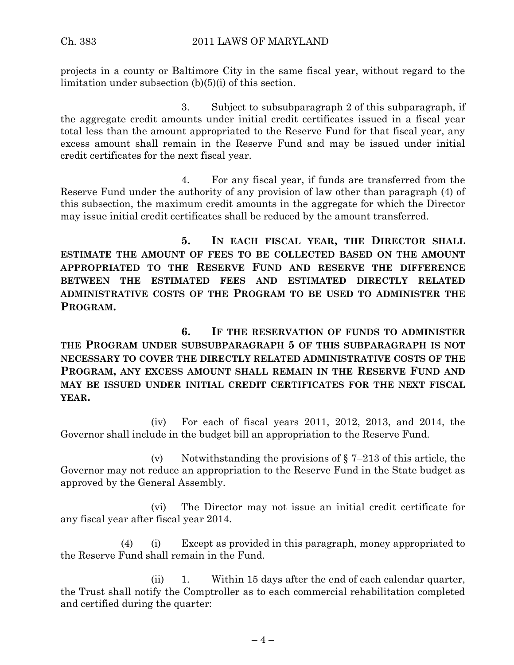projects in a county or Baltimore City in the same fiscal year, without regard to the limitation under subsection (b)(5)(i) of this section.

3. Subject to subsubparagraph 2 of this subparagraph, if the aggregate credit amounts under initial credit certificates issued in a fiscal year total less than the amount appropriated to the Reserve Fund for that fiscal year, any excess amount shall remain in the Reserve Fund and may be issued under initial credit certificates for the next fiscal year.

4. For any fiscal year, if funds are transferred from the Reserve Fund under the authority of any provision of law other than paragraph (4) of this subsection, the maximum credit amounts in the aggregate for which the Director may issue initial credit certificates shall be reduced by the amount transferred.

**5. IN EACH FISCAL YEAR, THE DIRECTOR SHALL ESTIMATE THE AMOUNT OF FEES TO BE COLLECTED BASED ON THE AMOUNT APPROPRIATED TO THE RESERVE FUND AND RESERVE THE DIFFERENCE BETWEEN THE ESTIMATED FEES AND ESTIMATED DIRECTLY RELATED ADMINISTRATIVE COSTS OF THE PROGRAM TO BE USED TO ADMINISTER THE PROGRAM.**

**6. IF THE RESERVATION OF FUNDS TO ADMINISTER THE PROGRAM UNDER SUBSUBPARAGRAPH 5 OF THIS SUBPARAGRAPH IS NOT NECESSARY TO COVER THE DIRECTLY RELATED ADMINISTRATIVE COSTS OF THE PROGRAM, ANY EXCESS AMOUNT SHALL REMAIN IN THE RESERVE FUND AND MAY BE ISSUED UNDER INITIAL CREDIT CERTIFICATES FOR THE NEXT FISCAL YEAR.**

(iv) For each of fiscal years 2011, 2012, 2013, and 2014, the Governor shall include in the budget bill an appropriation to the Reserve Fund.

(v) Notwithstanding the provisions of  $\S 7-213$  of this article, the Governor may not reduce an appropriation to the Reserve Fund in the State budget as approved by the General Assembly.

(vi) The Director may not issue an initial credit certificate for any fiscal year after fiscal year 2014.

(4) (i) Except as provided in this paragraph, money appropriated to the Reserve Fund shall remain in the Fund.

(ii) 1. Within 15 days after the end of each calendar quarter, the Trust shall notify the Comptroller as to each commercial rehabilitation completed and certified during the quarter: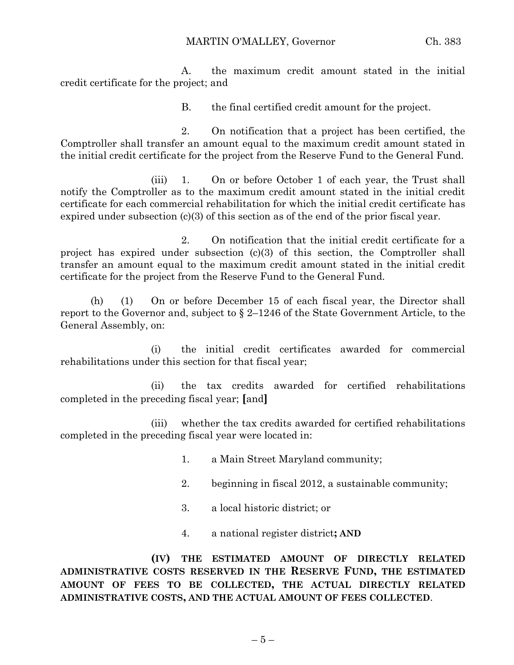MARTIN O'MALLEY, Governor Ch. 383

A. the maximum credit amount stated in the initial credit certificate for the project; and

B. the final certified credit amount for the project.

2. On notification that a project has been certified, the Comptroller shall transfer an amount equal to the maximum credit amount stated in the initial credit certificate for the project from the Reserve Fund to the General Fund.

(iii) 1. On or before October 1 of each year, the Trust shall notify the Comptroller as to the maximum credit amount stated in the initial credit certificate for each commercial rehabilitation for which the initial credit certificate has expired under subsection (c)(3) of this section as of the end of the prior fiscal year.

2. On notification that the initial credit certificate for a project has expired under subsection (c)(3) of this section, the Comptroller shall transfer an amount equal to the maximum credit amount stated in the initial credit certificate for the project from the Reserve Fund to the General Fund.

(h) (1) On or before December 15 of each fiscal year, the Director shall report to the Governor and, subject to § 2–1246 of the State Government Article, to the General Assembly, on:

(i) the initial credit certificates awarded for commercial rehabilitations under this section for that fiscal year;

(ii) the tax credits awarded for certified rehabilitations completed in the preceding fiscal year; **[**and**]**

(iii) whether the tax credits awarded for certified rehabilitations completed in the preceding fiscal year were located in:

- 1. a Main Street Maryland community;
- 2. beginning in fiscal 2012, a sustainable community;
- 3. a local historic district; or
- 4. a national register district**; AND**

**(IV) THE ESTIMATED AMOUNT OF DIRECTLY RELATED ADMINISTRATIVE COSTS RESERVED IN THE RESERVE FUND, THE ESTIMATED AMOUNT OF FEES TO BE COLLECTED, THE ACTUAL DIRECTLY RELATED ADMINISTRATIVE COSTS, AND THE ACTUAL AMOUNT OF FEES COLLECTED**.